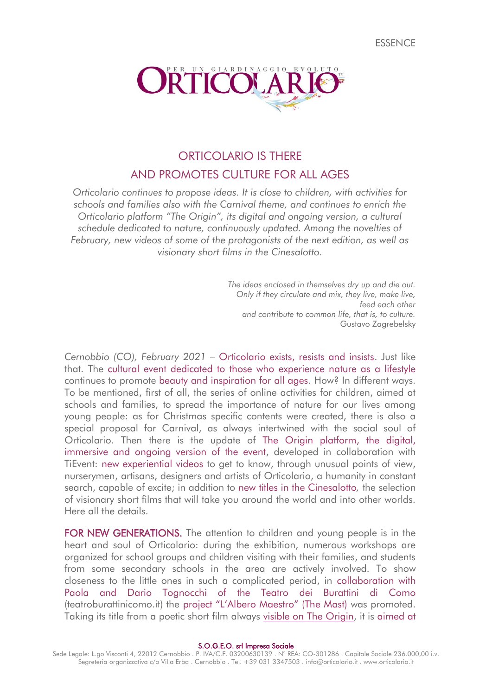**FSSENCE** 



# ORTICOLARIO IS THERE AND PROMOTES CULTURE FOR ALL AGES

*Orticolario continues to propose ideas. It is close to children, with activities for schools and families also with the Carnival theme, and continues to enrich the Orticolario platform "The Origin", its digital and ongoing version, a cultural schedule dedicated to nature, continuously updated. Among the novelties of February, new videos of some of the protagonists of the next edition, as well as visionary short films in the Cinesalotto.*

> *The ideas enclosed in themselves dry up and die out. Only if they circulate and mix, they live, make live, feed each other and contribute to common life, that is, to culture.* Gustavo Zagrebelsky

*Cernobbio (CO), February 2021* – Orticolario exists, resists and insists. Just like that. The cultural event dedicated to those who experience nature as a lifestyle continues to promote beauty and inspiration for all ages. How? In different ways. To be mentioned, first of all, the series of online activities for children, aimed at schools and families, to spread the importance of nature for our lives among young people: as for Christmas specific contents were created, there is also a special proposal for Carnival, as always intertwined with the social soul of Orticolario. Then there is the update of The Origin platform, the digital, immersive and ongoing version of the event, developed in collaboration with TiEvent: new experiential videos to get to know, through unusual points of view, nurserymen, artisans, designers and artists of Orticolario, a humanity in constant search, capable of excite; in addition to new titles in the Cinesalotto*,* the selection of visionary short films that will take you around the world and into other worlds. Here all the details.

FOR NEW GENERATIONS. The attention to children and young people is in the heart and soul of Orticolario: during the exhibition, numerous workshops are organized for school groups and children visiting with their families, and students from some secondary schools in the area are actively involved. To show closeness to the little ones in such a complicated period, in collaboration with Paola and Dario Tognocchi of the Teatro dei Burattini di Como (teatroburattinicomo.it) the project "L'Albero Maestro" (The Mast) was promoted. Taking its title from a poetic short film always [visible on The Origin,](https://mpembed.com/show/?m=XBPXJex7ULX&mpu=650&=-2.75,-.04&ss=317) it is aimed at

S.O.G.E.O. srl Impresa Sociale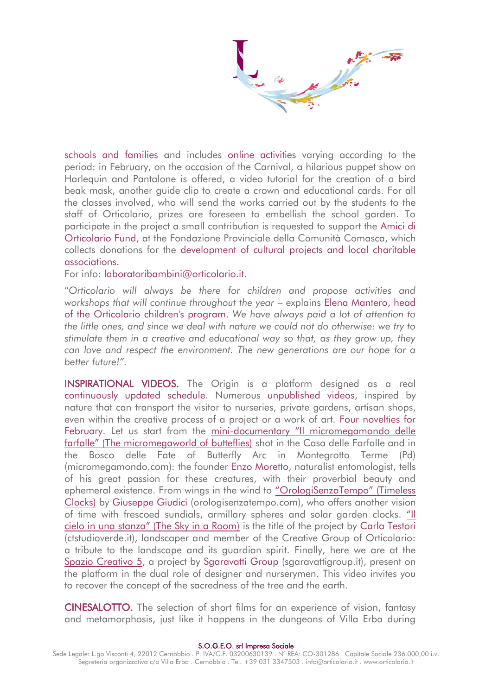schools and families and includes online activities varying according to the period: in February, on the occasion of the Carnival, a hilarious puppet show on Harlequin and Pantalone is offered, a video tutorial for the creation of a bird beak mask, another guide clip to create a crown and educational cards. For all the classes involved, who will send the works carried out by the students to the staff of Orticolario, prizes are foreseen to embellish the school garden. To participate in the project a small contribution is requested to support the Amici di Orticolario Fund, at the Fondazione Provinciale della Comunità Comasca, which collects donations for the development of cultural projects and local charitable associations.

For info: laboratoribambini@orticolario.it.

"*Orticolario will always be there for children and propose activities and workshops that will continue throughout the year* – explains Elena Mantero, head of the Orticolario children's program. *We have always paid a lot of attention to the little ones, and since we deal with nature we could not do otherwise: we try to stimulate them in a creative and educational way so that, as they grow up, they can love and respect the environment. The new generations are our hope for a better future!".*

INSPIRATIONAL VIDEOS. The Origin is a platform designed as a real continuously updated schedule. Numerous unpublished videos, inspired by nature that can transport the visitor to nurseries, private gardens, artisan shops, even within the creative process of a project or a work of art. Four novelties for February. Let us start from the mini-[documentary "Il micromegamondo delle](https://mpembed.com/show/?m=XBPXJex7ULX&mpu=650&=-2.84,.35&ss=222) [farfalle" \(The micromegaworld of butteflies\)](https://mpembed.com/show/?m=XBPXJex7ULX&mpu=650&=-2.84,.35&ss=222) shot in the Casa delle Farfalle and in the Bosco delle Fate of Butterfly Arc in Montegrotto Terme (Pd) (micromegamondo.com): the founder Enzo Moretto, naturalist entomologist, tells of his great passion for these creatures, with their proverbial beauty and ephemeral existence. From wings in the wind to ["OrologiSenzaTempo" \(Timeless](https://mpembed.com/show/?m=XBPXJex7ULX&mpu=650&=-3.05,.34&ss=456)  [Clocks\)](https://mpembed.com/show/?m=XBPXJex7ULX&mpu=650&=-3.05,.34&ss=456) by Giuseppe Giudici (orologisenzatempo.com), who offers another vision of time with frescoed sundials, armillary spheres and solar garden clocks. ["Il](https://mpembed.com/show/?m=XBPXJex7ULX&mpu=650&=-2.59,.33&ss=497)  [cielo in una stanza" \(The Sky in a Room\)](https://mpembed.com/show/?m=XBPXJex7ULX&mpu=650&=-2.59,.33&ss=497) is the title of the project by Carla Testori (ctstudioverde.it), landscaper and member of the Creative Group of Orticolario: a tribute to the landscape and its guardian spirit. Finally, here we are at the [Spazio Creativo 5,](https://mpembed.com/show/?m=XBPXJex7ULX&mpu=650&=-2.84,.35&ss=222) a project by Sgaravatti Group (sgaravattigroup.it), present on the platform in the dual role of designer and nurserymen. This video invites you to recover the concept of the sacredness of the tree and the earth.

CINESALOTTO. The selection of short films for an experience of vision, fantasy and metamorphosis, just like it happens in the dungeons of Villa Erba during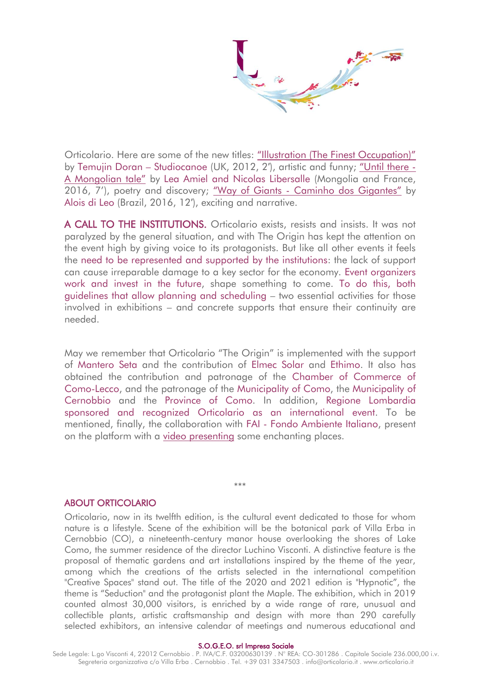Orticolario. Here are some of the new titles: ["Illustration \(The Finest Occupation\)"](https://mpembed.com/show/?m=XBPXJex7ULX&mpu=650&=-2.66,-.39&ss=165) by Temujin Doran – Studiocanoe (UK, 2012, 2′), artistic and funny; ["Until there](https://mpembed.com/show/?m=XBPXJex7ULX&mpu=650&=-2.66,-.39&ss=165) - [A Mongolian tale"](https://mpembed.com/show/?m=XBPXJex7ULX&mpu=650&=-2.66,-.39&ss=165) by Lea Amiel and Nicolas Libersalle (Mongolia and France, 2016, 7'), poetry and discovery; "Way of Giants - [Caminho dos Gigantes"](https://mpembed.com/show/?m=XBPXJex7ULX&mpu=650&=-2.66,-.39&ss=165) by Alois di Leo (Brazil, 2016, 12′), exciting and narrative.

A CALL TO THE INSTITUTIONS. Orticolario exists, resists and insists. It was not paralyzed by the general situation, and with The Origin has kept the attention on the event high by giving voice to its protagonists. But like all other events it feels the need to be represented and supported by the institutions: the lack of support can cause irreparable damage to a key sector for the economy. Event organizers work and invest in the future, shape something to come. To do this, both guidelines that allow planning and scheduling – two essential activities for those involved in exhibitions – and concrete supports that ensure their continuity are needed.

May we remember that Orticolario "The Origin" is implemented with the support of Mantero Seta and the contribution of Elmec Solar and Ethimo. It also has obtained the contribution and patronage of the Chamber of Commerce of Como-Lecco, and the patronage of the Municipality of Como, the Municipality of Cernobbio and the Province of Como. In addition, Regione Lombardia sponsored and recognized Orticolario as an international event. To be mentioned, finally, the collaboration with FAI - Fondo Ambiente Italiano, present on the platform with a [video presenting](https://mpembed.com/show/?m=XBPXJex7ULX&mpu=650&=-1.51,1.05&ss=295) some enchanting places.

\*\*\*

## ABOUT ORTICOLARIO

Orticolario, now in its twelfth edition, is the cultural event dedicated to those for whom nature is a lifestyle. Scene of the exhibition will be the botanical park of Villa Erba in Cernobbio (CO), a nineteenth-century manor house overlooking the shores of Lake Como, the summer residence of the director Luchino Visconti. A distinctive feature is the proposal of thematic gardens and art installations inspired by the theme of the year, among which the creations of the artists selected in the international competition "Creative Spaces" stand out. The title of the 2020 and 2021 edition is "Hypnotic", the theme is "Seduction" and the protagonist plant the Maple. The exhibition, which in 2019 counted almost 30,000 visitors, is enriched by a wide range of rare, unusual and collectible plants, artistic craftsmanship and design with more than 290 carefully selected exhibitors, an intensive calendar of meetings and numerous educational and

#### S.O.G.E.O. srl Impresa Sociale